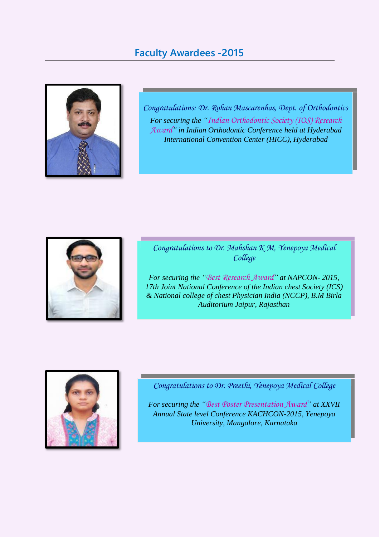## **Faculty Awardees -2015**



*Congratulations: Dr. Rohan Mascarenhas, Dept. of Orthodontics For securing the "Indian Orthodontic Society (IOS) Research Award" in Indian Orthodontic Conference held at Hyderabad International Convention Center (HICC), Hyderabad* 



*Congratulations to Dr. Mahshan K M, Yenepoya Medical College*

*For securing the "Best Research Award" at NAPCON- 2015, 17th Joint National Conference of the Indian chest Society (ICS) & National college of chest Physician India (NCCP), B.M Birla Auditorium Jaipur, Rajasthan*



*Congratulations to Dr. Preethi, Yenepoya Medical College*

*For securing the "Best Poster Presentation Award" at XXVII Annual State level Conference KACHCON-2015, Yenepoya University, Mangalore, Karnataka*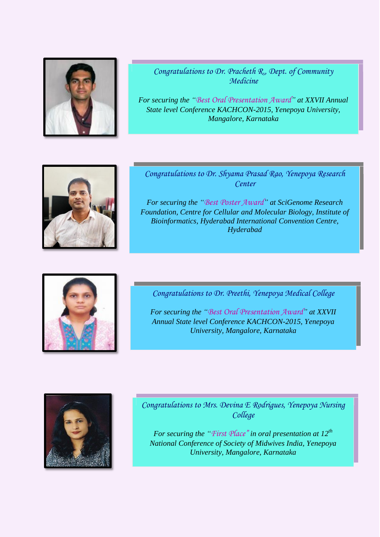

*Congratulations to Dr. Pracheth R., Dept. of Community Medicine*

*For securing the "Best Oral Presentation Award" at XXVII Annual State level Conference KACHCON-2015, Yenepoya University, Mangalore, Karnataka*



*Congratulations to Dr. Shyama Prasad Rao, Yenepoya Research Center*

*For securing the "Best Poster Award" at SciGenome Research Foundation, Centre for Cellular and Molecular Biology, Institute of Bioinformatics, Hyderabad International Convention Centre, Hyderabad*



*Congratulations to Dr. Preethi, Yenepoya Medical College*

*For securing the "Best Oral Presentation Award" at XXVII Annual State level Conference KACHCON-2015, Yenepoya University, Mangalore, Karnataka*



*Congratulations to Mrs. Devina E Rodrigues, Yenepoya Nursing College*

*For securing the "First Place" in oral presentation at 12th National Conference of Society of Midwives India, Yenepoya University, Mangalore, Karnataka*